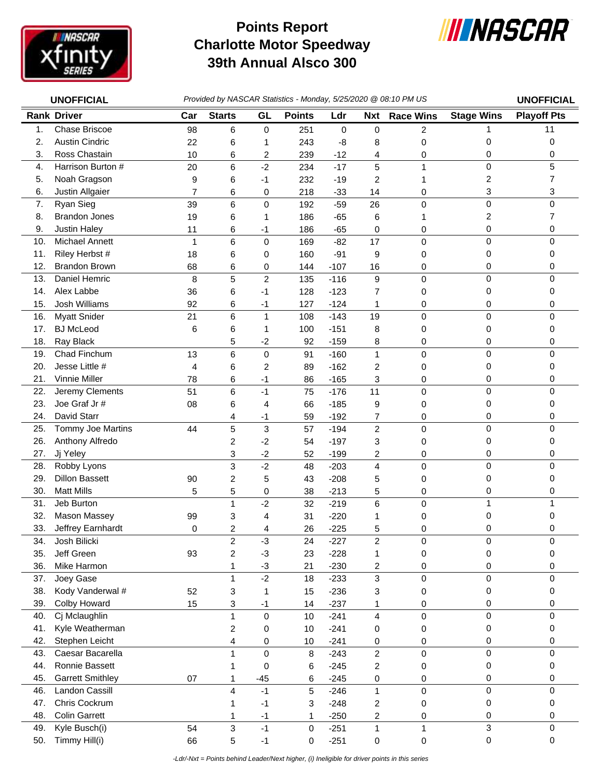

## **Charlotte Motor Speedway 39th Annual Alsco 300 Points Report**



| <b>UNOFFICIAL</b> |                         | Provided by NASCAR Statistics - Monday, 5/25/2020 @ 08:10 PM US |                         |                |               |             |                         |                  |                   | <b>UNOFFICIAL</b>  |
|-------------------|-------------------------|-----------------------------------------------------------------|-------------------------|----------------|---------------|-------------|-------------------------|------------------|-------------------|--------------------|
|                   | <b>Rank Driver</b>      | Car                                                             | <b>Starts</b>           | GL             | <b>Points</b> | Ldr         | <b>Nxt</b>              | <b>Race Wins</b> | <b>Stage Wins</b> | <b>Playoff Pts</b> |
| 1.                | <b>Chase Briscoe</b>    | 98                                                              | 6                       | 0              | 251           | $\mathbf 0$ | $\pmb{0}$               | 2                | 1                 | 11                 |
| 2.                | <b>Austin Cindric</b>   | 22                                                              | 6                       | 1              | 243           | -8          | 8                       | 0                | 0                 | 0                  |
| 3.                | Ross Chastain           | 10                                                              | 6                       | 2              | 239           | $-12$       | 4                       | 0                | 0                 | 0                  |
| 4.                | Harrison Burton #       | 20                                                              | 6                       | $-2$           | 234           | $-17$       | 5                       | 1                | 0                 | 5                  |
| 5.                | Noah Gragson            | 9                                                               | 6                       | -1             | 232           | $-19$       | $\overline{c}$          | 1                | 2                 | $\overline{7}$     |
| 6.                | Justin Allgaier         | 7                                                               | 6                       | 0              | 218           | $-33$       | 14                      | 0                | 3                 | 3                  |
| 7.                | Ryan Sieg               | 39                                                              | 6                       | 0              | 192           | $-59$       | 26                      | 0                | 0                 | $\Omega$           |
| 8.                | <b>Brandon Jones</b>    | 19                                                              | 6                       | 1              | 186           | $-65$       | 6                       | 1                | 2                 | 7                  |
| 9.                | <b>Justin Haley</b>     | 11                                                              | 6                       | -1             | 186           | $-65$       | 0                       | 0                | 0                 | 0                  |
| 10.               | Michael Annett          | $\mathbf{1}$                                                    | 6                       | 0              | 169           | $-82$       | 17                      | 0                | 0                 | 0                  |
| 11.               | Riley Herbst #          | 18                                                              | 6                       | 0              | 160           | $-91$       | 9                       | 0                | 0                 | 0                  |
| 12.               | <b>Brandon Brown</b>    | 68                                                              | 6                       | 0              | 144           | $-107$      | 16                      | 0                | 0                 | 0                  |
| 13.               | Daniel Hemric           | 8                                                               | 5                       | $\overline{c}$ | 135           | $-116$      | $\mathsf g$             | 0                | 0                 | $\mathbf 0$        |
| 14.               | Alex Labbe              | 36                                                              | 6                       | $-1$           | 128           | $-123$      | 7                       | 0                | 0                 | 0                  |
| 15.               | <b>Josh Williams</b>    | 92                                                              | 6                       | $-1$           | 127           | $-124$      | 1                       | 0                | 0                 | 0                  |
| 16.               | <b>Myatt Snider</b>     | 21                                                              | 6                       | $\mathbf{1}$   | 108           | $-143$      | 19                      | 0                | 0                 | $\mathbf 0$        |
| 17.               | <b>BJ</b> McLeod        | 6                                                               | 6                       | 1              | 100           | $-151$      | 8                       | 0                | 0                 | 0                  |
| 18.               | Ray Black               |                                                                 | 5                       | $-2$           | 92            | $-159$      | 8                       | 0                | 0                 | 0                  |
| 19.               | Chad Finchum            | 13                                                              | 6                       | 0              | 91            | $-160$      | $\mathbf{1}$            | 0                | 0                 | 0                  |
| 20.               | Jesse Little #          | 4                                                               | 6                       | 2              | 89            | $-162$      | $\overline{c}$          | 0                | 0                 | $\Omega$           |
| 21.               | Vinnie Miller           | 78                                                              | 6                       | $-1$           | 86            | $-165$      | 3                       | 0                | 0                 | 0                  |
| 22.               | Jeremy Clements         | 51                                                              | 6                       | $-1$           | 75            | $-176$      | 11                      | 0                | 0                 | $\Omega$           |
| 23.               | Joe Graf Jr#            | 08                                                              | 6                       | 4              | 66            | $-185$      | 9                       | 0                | 0                 | 0                  |
| 24.               | David Starr             |                                                                 | 4                       | $-1$           | 59            | $-192$      | 7                       | 0                | 0                 | 0                  |
| 25.               | Tommy Joe Martins       | 44                                                              | 5                       | 3              | 57            | $-194$      | $\overline{c}$          | 0                | 0                 | $\mathbf 0$        |
| 26.               | Anthony Alfredo         |                                                                 | 2                       | $-2$           | 54            | $-197$      | 3                       | 0                | 0                 | 0                  |
| 27.               | Jj Yeley                |                                                                 | 3                       | $-2$           | 52            | $-199$      | 2                       | 0                | 0                 | 0                  |
| 28.               | Robby Lyons             |                                                                 | 3                       | $-2$           | 48            | $-203$      | $\overline{4}$          | 0                | 0                 | 0                  |
| 29.               | <b>Dillon Bassett</b>   | 90                                                              | 2                       | 5              | 43            | $-208$      | 5                       | 0                | 0                 | 0                  |
| 30.               | <b>Matt Mills</b>       | 5                                                               | 5                       | 0              | 38            | $-213$      | 5                       | 0                | 0                 | 0                  |
| 31.               | Jeb Burton              |                                                                 | 1                       | $-2$           | 32            | $-219$      | 6                       | 0                | 1                 | 1                  |
| 32.               | <b>Mason Massey</b>     | 99                                                              | 3                       | 4              | 31            | $-220$      | 1                       | 0                | 0                 | 0                  |
| 33.               | Jeffrey Earnhardt       | 0                                                               | 2                       | 4              | 26            | $-225$      | 5                       | 0                | 0                 | 0                  |
| 34.               | Josh Bilicki            |                                                                 | $\overline{\mathbf{c}}$ | $-3$           | 24            | $-227$      | $\overline{c}$          | 0                | 0                 | 0                  |
| 35.               | Jeff Green              | 93                                                              | 2                       | $-3$           | 23            | $-228$      | 1                       | $\pmb{0}$        | 0                 | 0                  |
| 36.               | Mike Harmon             |                                                                 | 1                       | $-3$           | 21            | $-230$      | $\overline{\mathbf{c}}$ | 0                | 0                 | 0                  |
| 37.               | Joey Gase               |                                                                 | 1                       | $-2$           | 18            | $-233$      | 3                       | 0                | 0                 | 0                  |
| 38.               | Kody Vanderwal #        | 52                                                              | 3                       | 1              | 15            | $-236$      | 3                       | 0                | 0                 | 0                  |
| 39.               | Colby Howard            | 15                                                              | 3                       | $-1$           | 14            | $-237$      | 1                       | $\pmb{0}$        | 0                 | 0                  |
| 40.               | Cj Mclaughlin           |                                                                 | 1                       | 0              | 10            | $-241$      | $\overline{\mathbf{4}}$ | $\mathsf 0$      | 0                 | $\mathbf 0$        |
| 41.               | Kyle Weatherman         |                                                                 | 2                       | 0              | 10            | $-241$      | 0                       | 0                | 0                 | 0                  |
| 42.               | Stephen Leicht          |                                                                 | 4                       | 0              | 10            | $-241$      | 0                       | 0                | 0                 | 0                  |
| 43.               | Caesar Bacarella        |                                                                 | 1                       | 0              | 8             | $-243$      | $\overline{c}$          | $\pmb{0}$        | 0                 | $\mathbf 0$        |
| 44.               | Ronnie Bassett          |                                                                 | 1                       | 0              | 6             | $-245$      | $\overline{c}$          | 0                | 0                 | 0                  |
| 45.               | <b>Garrett Smithley</b> | 07                                                              | 1                       | $-45$          | 6             | $-245$      | 0                       | 0                | 0                 | 0                  |
| 46.               | Landon Cassill          |                                                                 | 4                       | $-1$           | 5             | $-246$      | $\mathbf{1}$            | $\pmb{0}$        | 0                 | 0                  |
| 47.               | Chris Cockrum           |                                                                 |                         | $-1$           | 3             | $-248$      | $\overline{\mathbf{c}}$ | 0                | 0                 | 0                  |
| 48.               | <b>Colin Garrett</b>    |                                                                 | 1                       | $-1$           | 1             | $-250$      | $\overline{\mathbf{c}}$ | 0                | 0                 | 0                  |
| 49.               | Kyle Busch(i)           | 54                                                              | 3                       | $-1$           | 0             | $-251$      | $\mathbf{1}$            | 1                | 3                 | 0                  |
| 50.               | Timmy Hill(i)           | 66                                                              | 5                       | $-1$           | 0             | $-251$      | 0                       | 0                | 0                 | 0                  |